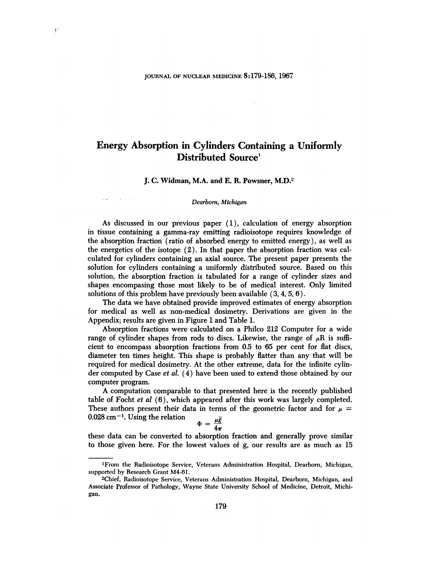# Energy Absorption in Cylinders Containing a Uniformly Distributed Source<sup>1</sup>

## J. C. Widman, M.A. and E. R. Powsner, M.D.<sup>2</sup>

#### Dearborn, Michigan

 $\tau \rightarrow \tau$ 

As discussed in our previous paper  $(1)$ , calculation of energy absorption in tissue containing a gamma-ray emitting radioisotope requires knowledge of the absorption fraction (ratio of absorbed energy to emitted energy ), as well as the energetics of the isotope (2). In that paper the absorption fraction was cal culated for cylinders containing an axial source. The present paper presents the solution for cylinders containing a uniformly distributed source. Based on this solution, the absorption fraction is tabulated for a range of cylinder sizes and shapes encompasing those most likely to be of medical interest. Only limited solutions of this problem have previously been available  $(3, 4, 5, 6)$ .

The data we have obtained provide improved estimates of energy absorption for medical as well as non-medical dosimetry. Derivations are given in the Appendix; results are given in Figure 1 and Table 1.

Absorption fractions were calculated on a Philco 212 Computer for a wide range of cylinder shapes from rods to discs. Likewise, the range of  $\mu$ R is sufficient to encompass absorption fractions from 0.5to 65 per cent for flat discs, diameter ten times height. This shape is probably flatter than any that will be required for medical dosimetry. At the other extreme, data for the infinite cylin der computed by Case et al. (4) have been used to extend those obtained by our computer program.

A computation comparable to that presented here is the recently published table of Focht et  $al(6)$ , which appeared after this work was largely completed. These authors present their data in terms of the geometric factor and for  $\mu =$  $0.028$  cm<sup>-1</sup>. Using the relation

$$
\Phi = \frac{\mu g}{4\pi}
$$

these data can be converted to absorption fraction and generally prove similar to those given here. For the lowest values of g, our results are as much as 15

<sup>&#</sup>x27;From the Radioisotope Service, Veterans Administration Hospital, Dearborn, Michigan, supported by Research Grant M4-61.

<sup>2</sup>Chief, Radioisotope Service, Veterans Administration Hospital, Dearborn, Michigan, and Associate Professor of Pathology, Wayne State University School of Medicine, Detroit, Michi gan.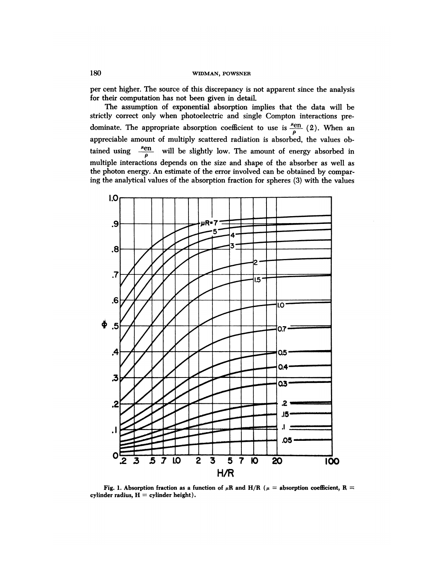per cent higher. The source of this discrepancy is not apparent since the analysis for their computation has not been given in detaiL

The assumption of exponential absorption implies that the data will be strictly correct only when photoelectric and single Compton interactions pre dominate. The appropriate absorption coefficient to use is  $\frac{\mu_{\text{en}}}{\rho}$  (2). When an appreciable amount of multiply scattered radiation is absorbed, the values ob tained using  $\frac{\mu_{\text{en}}}{\rho}$  will be slightly low. The amount of energy absorbed in multiple interactions depends on the size and shape of the absorber as well as the photon energy. An estimate of the error involved can be obtained by compar ing the analytical values of the absorption fraction for spheres (3) with the values



**Fig.** 1. Absorption fraction as a function of  $\mu$ R and H/R ( $\mu$  = absorption coefficient, R = cylinder radius,  $H =$  cylinder height).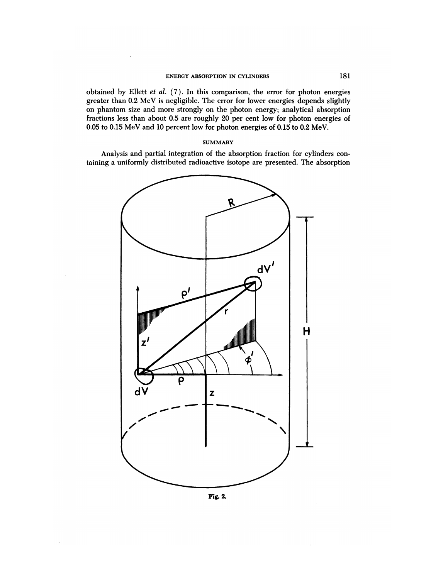obtained by Ellett et al.  $(7)$ . In this comparison, the error for photon energies greater than 0.2 MeV is negligible. The error for lower energies depends slightly on phantom size and more strongly on the photon energy; analytical absorption fractions less than about 0.5 are roughly 20 per cent low for photon energies of 0.05 to 0.15 MeV and 10 percent low for photon energies of 0.15 to 0.2 MeV.

# **SUMMARY**

Analysis and partial integration of the absorption fraction for cylinders con taining a uniformly distributed radioactive isotope are presented. The absorption



**Fig. 2.**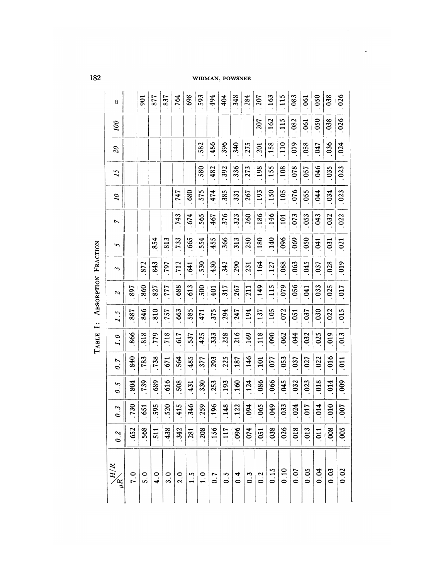# WIDMAN, POWSNER

 $\hat{\boldsymbol{\beta}}$ 

 $\ddot{\phantom{0}}$ 

| $\frac{H/R}{\mu R}$ | 0.2  | $0.\overline{3}$ | $0.\overline{5}$ | $\sigma$ .7     | 1.0  | $\overline{1}$ . 5 | $\overline{\mathcal{L}}$ | 3          | in,  | N    | $\tilde{\mathcal{L}}$ | $\overline{1}$ | $\overline{\mathcal{E}}$ | 00               | 8              |
|---------------------|------|------------------|------------------|-----------------|------|--------------------|--------------------------|------------|------|------|-----------------------|----------------|--------------------------|------------------|----------------|
| 7.0                 | .652 | .730             | 804              | 840             | 866  | 887                | 897                      |            |      |      |                       |                |                          |                  |                |
| 5.0                 | 568  | 651              | 739              | .783            | 818  | 846                | .860                     | 872        |      |      |                       |                |                          |                  | $\overline{5}$ |
| 4.0                 | .511 | 595              | 689              | .738            | .779 | 810                | 827                      | 843        | 854  |      |                       |                |                          |                  | 877            |
| 3.0                 | 438  | 520              | 616              | .671            | .718 | .757               | .777                     | <b>L64</b> | 813  |      |                       |                |                          |                  | 837            |
| 2.0                 | 342  | 415              | 508              | 564             | 617  | 663                | .688                     | 712        | 733  | 743  | 747                   |                |                          |                  | 764            |
| $1.\overline{5}$    | .281 | 346              | 431              | 485             | 537  | 585                | .613                     | 541        | .665 | .674 | .680                  |                |                          |                  | 698            |
| 1.0                 | .208 | .259             | .330             | .377            | .425 | 471                | .500                     | 530        | .554 | 565  | 575                   | 580            | 582                      |                  | 593            |
| 0.7                 | .156 | 196              | .253             | .293            | .333 | .375               | $\frac{401}{1}$          | 430        | 455  | .467 | $-474$                | .482           | .486                     |                  | 494            |
| $0.\overline{5}$    | .117 | 148              | .193             | .225            | .258 | .294               | .317                     | 342        | .366 | .376 | .385                  | 392            | .396                     |                  | 404            |
| 0.4                 | .096 | 122              | .160             | .187            | 216  | .247               | .267                     | .290       | .313 | .323 | .331                  | 336            | .340                     |                  | 348            |
| $0.\overline{3}$    | .074 | 094              | .124             | .146            | .169 | .194               | .211                     | .231       | .250 | .260 | .267                  | .273           | .275                     |                  | 284            |
| 0.2                 | .051 | .065             | .086             | $\frac{101}{2}$ | .118 | .137               | .149                     | 164        | .180 | .186 | .193                  | .198           | $-201$                   | <b>207</b>       | 207            |
| 0.15                | .038 | 049              | .066             | .077            | .090 | .105               | .115                     | .127       | .140 | .146 | .150                  | .155           | .158                     | .162             | 163            |
| 0.10                | .026 | .033             | 045              | .053            | .062 | .072               | 079                      | .088       | 096  | 101  | .105                  | .108           | $\frac{110}{110}$        | $\frac{115}{11}$ | .115           |
| 0.07                | .018 | 024              | 032              | .037            | 94   | .051               | .056                     | .063       | .069 | .073 | .076                  | .078           | 079                      | .082             | .083           |
| 0.05                | .013 | 017              | .023             | .027            | .032 | .037               | <b>EKO</b> .             | .045       | .050 | .053 | .055                  | .057           | .058                     | .061             | .061           |
| 0.04                | .011 | 014              | 018              | .022            | .025 | 030                | .033                     | .037       | 140  | .043 | .044                  | .046           | .047                     | 0.50             | .050           |
| 0.03                | .008 | 010              | .014             | .016            | .019 | .022               | .025                     | .028       | .031 | .032 | .034                  | .035           | .036                     | 038              | .038           |
| 0.02                | 005  | <b>007</b>       | $000$ .          | .011            | .013 | .015               | <b>017</b>               | .019       | .021 | .022 | .023                  | .023           | .024                     | .026             | .026           |

TABLE I: ABSORPTION FRACTION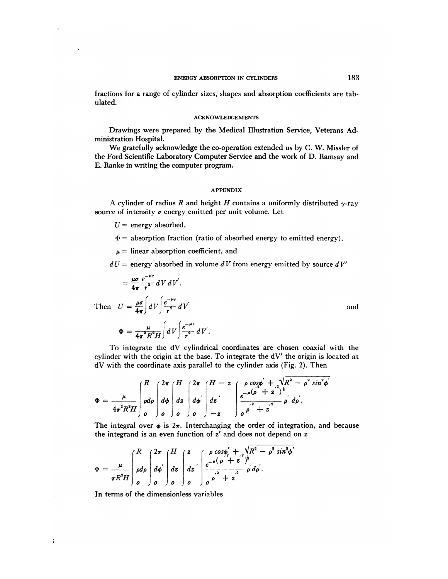### ENERGY ABSORPTION IN CYLINDERS 183

fractions for a range of cylinder sizes, shapes and absorption coefficients are tab ulated.

#### ACKNOWLEDGEMENTS

Drawings were prepared by the Medical Illustration Service, Veterans Ad ministration Hospital.

We gratefully acknowledge the co-operation extended us by C. W. Missler of the Ford Scientific Laboratory Computer Service and the work of D. Ramsay and E. Ranke in writing the computer program.

## APPENDIX

A cylinder of radius R and height H contains a uniformly distributed  $\gamma$ -ray source of intensity  $\sigma$  energy emitted per unit volume. Let

 $U =$  energy absorbed,

 $\frac{1}{2}$ 

÷

- $\Phi =$  absorption fraction (ratio of absorbed energy to emitted energy),
- $\mu =$  linear absorption coefficient, and
- $dU =$  **energy** absorbed in volume  $dV$  from energy emitted by source  $dV'$

$$
= \frac{\mu\sigma}{4\pi} \frac{e^{-\mu r}}{r^2} dV dV'.
$$
  
Then  $U = \frac{\mu\sigma}{4\pi} \int dV \int \frac{e^{-\mu r}}{r^2} dV'$  and

 $\mathcal{L} = 4\pi^2 R^2 H \int dV \int r^2 dV$ 

$$
f_{\rm{max}}
$$

To integrate the dV cylindrical coordinates are chosen coaxial with the cylinder with the origin at the base. To integrate the dV' the origin is located at dV with the coordinate axis parallel to the cylinder axis (Fig. 2). Then

$$
\Phi = \frac{\mu}{4\pi^2 R^2 H} \left[ \begin{array}{c} R \\ \rho d\rho \\ \rho d\rho \end{array} \right] \left[ \begin{array}{c} 2\pi \\ d\phi \\ d\phi \\ \rho \end{array} \right] \left[ \begin{array}{c} 2\pi \\ d\phi \\ d\phi \\ \rho \end{array} \right] \left[ \begin{array}{c} H - z \\ dz \\ dz \\ dz \\ - z \end{array} \right] \left[ \begin{array}{c} \rho \cos\phi + \sqrt{R^2 - \rho^2 \sin^2\phi} \\ e^{-\mu(\rho^2 + z^2)} \\ \rho \end{array} \right] \left[ \begin{array}{c} \sqrt{R^2 - \rho^2 \sin^2\phi} \\ \frac{e^{-\mu(\rho^2 + z^2)} }{\rho^2} \end{array} \right]
$$

The integral over  $\phi$  is  $2\pi$ . Interchanging the order of integration, and because the integrand is an even function of z' and does not depend on z

$$
\Phi = \frac{\mu}{\pi R^2 H} \int_0^R \rho d\rho \int_0^{2\pi} d\phi \int_0^H dz \int_0^z e^{-\mu (\rho + z^2)^{\frac{1}{2}}} \rho d\rho.
$$

In terms of the dimensionless variables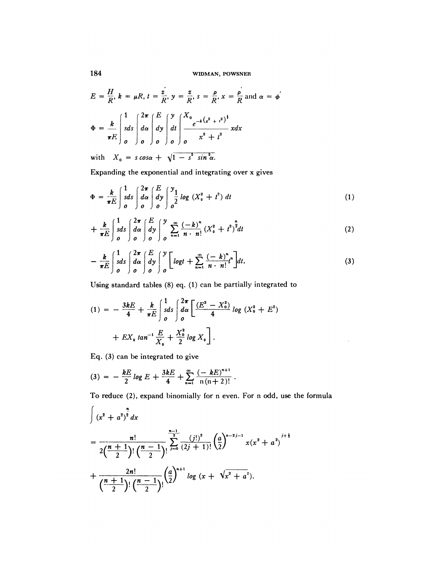184 WIDMAN, POWSNER

$$
E = \frac{H}{R}, k = \mu R, t = \frac{z}{R}, y = \frac{z}{R}, s = \frac{\rho}{R}, x = \frac{\rho}{R} \text{ and } \alpha = \phi'
$$
  

$$
\Phi = \frac{k}{\pi E} \int_{0}^{1} s ds \int_{0}^{2\pi} \left( \frac{E}{d\alpha} \int_{0}^{y} dt \right) \left( \frac{X_{0}}{e^{-k(x^{2} + t^{2})^{3}}} x dx \right)
$$

with  $X_0 = s \cos \alpha + \sqrt{1 - s^2 \sin^2 \alpha}$ .

Expanding the exponential and integrating over x gives

$$
\Phi = \frac{k}{\pi E} \int_{0}^{1} s ds \int_{0}^{2\pi} \frac{E}{d\omega} \int_{0}^{2\pi} \frac{y_1}{\omega^2} \log (X_0^2 + t^2) dt \tag{1}
$$

$$
+\frac{k}{\pi E}\int_{0}^{1}ds\int_{0}^{2\pi}\frac{E}{d\omega}\int_{0}^{y}\frac{\int_{0}^{\infty}\left(-k\right)^{n}}{\int_{0}^{\infty}\left(n-n\right)}\left(X_{0}^{2}+t^{2}\right)^{2}dt
$$
\n(2)

$$
-\frac{k}{\pi E}\int\limits_{0}^{1}\frac{1}{sds}\int\limits_{0}^{2\pi}\frac{E}{s}\int\limits_{0}^{y}\left[\log t+\sum\limits_{n=1}^{\infty}\frac{(-k)^{n}}{n\cdot n!}t^{n}\right]dt.
$$
 (3)

 $\bar{z}$ 

Using standard tables (8) eq. (1) can be partially integrated to

$$
(1) = -\frac{3kE}{4} + \frac{k}{\pi E} \int_{0}^{1} s ds \int_{0}^{2\pi} \left[ \frac{(E^{2} - X_{0}^{2})}{4} \log (X_{0}^{2} + E^{2}) + EX_{0} \tan^{-1} \frac{E}{X_{0}} + \frac{X_{0}^{2}}{2} \log X_{0} \right].
$$

Eq. (3) can be integrated to give

$$
(3) = -\frac{kE}{2} \log E + \frac{3kE}{4} + \sum_{n=1}^{\infty} \frac{(-kE)^{n+1}}{n(n+2)!}.
$$

**To reduce (2), expand binomially for n even. For n odd,use the formula**

$$
\int (x^2 + a^2)^2 dx
$$
  
= 
$$
\frac{n!}{2(\frac{n+1}{2})!} \frac{\sum_{j=0}^{n-1} (j!)^2}{(2j+1)!} (\frac{a}{2})^{n-2j-1} x(x^2 + a^2)^{j+\frac{1}{2}}
$$
  
+ 
$$
\frac{2n!}{(\frac{n+1}{2})!} (\frac{n-1}{2})! (\frac{a}{2})^{n+1} \log (x + \sqrt{x^2 + a^2}).
$$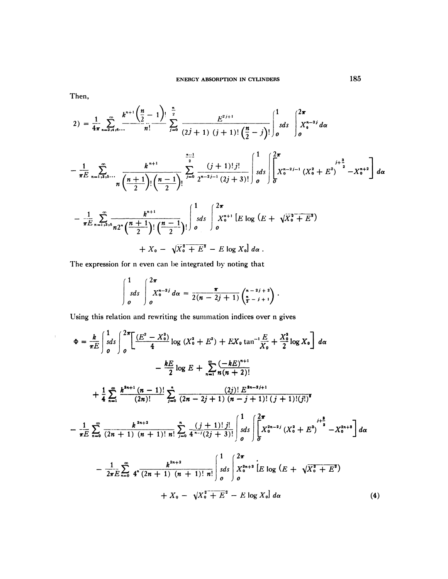Then,

 $\langle \cdot \rangle_{\rm{F}}$ 

$$
2) = \frac{1}{4\pi} \sum_{n=2,4,6...}^{\infty} \frac{k^{n+1} \left(\frac{n}{2}-1\right)!}{n!} \sum_{j=0}^{\frac{n}{2}} \frac{E^{2j+1}}{(2j+1) (j+1)! \left(\frac{n}{2}-j\right)!} \int_{0}^{1} s ds \int_{0}^{2\pi} X_{0}^{n-2j} d\alpha
$$

$$
-\frac{1}{\pi E} \sum_{n=1,3,5}^{\infty} \frac{k^{n+1}}{n} \frac{\sum_{j=0}^{n-1} (j+1)! j!}{\sum_{j=0}^{n-2} 2^{n-2j-1} (2j+3)!} \int_{0}^{1} s ds \left( \int_{0}^{2\pi} X_{0}^{n-2j-1} (X_{0}^{2} + E^{2})^{-2} -X_{0}^{n+2} \right) d\alpha
$$

$$
-\frac{1}{\pi E} \sum_{n=1,3,5}^{\infty} \frac{k^{n+1}}{n 2^n \left(\frac{n+1}{2}\right)!} \left(\frac{n-1}{2}\right)! \int_{0}^{1} s ds \int_{0}^{2\pi} X_{0}^{n+1} \left[E \log \left(E + \sqrt{X_{0}^{2} + E^{2}}\right) + X_{0} - \sqrt{X_{0}^{2} + E^{2}} - E \log X_{0} \right] d\alpha.
$$

The expression for n even can be integrated by noting that

$$
\int_{0}^{1} s ds \int_{0}^{2\pi} X_{0}^{n-2j} d\alpha = \frac{\pi}{2(n-2j+1)} {n-2j+2 \choose \frac{n}{2}-j+1}.
$$

Using this relation and rewriting the summation indices over n gives

$$
\Phi = \frac{k}{\pi E} \int_{\delta}^{1} \frac{ds}{s} \int_{0}^{2\pi} \left[ \frac{(E^{2} - X_{0}^{2})}{4} \log (X_{0}^{2} + E^{2}) + EX_{0} \tan^{-1} \frac{E}{X_{0}} + \frac{X_{0}^{2}}{2} \log X_{0} \right] d\alpha
$$
  
\n
$$
- \frac{kE}{2} \log E + \sum_{n=1}^{\infty} \frac{(-kE)^{n+1}}{n(n+2)!}
$$
  
\n
$$
+ \frac{1}{4} \sum_{n=1}^{\infty} \frac{k^{2n+1} (n-1)!}{(2n)!} \sum_{j=0}^{n} \frac{(2j)! E^{2n-2j+1}}{(2n-2j+1) (n-j+1)! (j+1)! (j!)^{2}}
$$
  
\n
$$
- \frac{1}{\pi E} \sum_{n=0}^{\infty} \frac{k^{2n+2}}{(2n+1) (n+1)! n!} \sum_{j=0}^{n} \frac{(j+1)! j!}{4^{n-j} (2j+3)!} \int_{0}^{1} s ds \int_{0}^{2\pi} \left[ X_{0}^{2n-2j} (X_{0}^{2} + E^{2}) \right]^{s} - X_{0}^{2n+3} d\alpha
$$
  
\n
$$
- \frac{1}{2\pi E} \sum_{n=0}^{\infty} 4^{n} \frac{k^{2n+2}}{(2n+1) (n+1)! n!} \int_{0}^{1} s ds \int_{0}^{2\pi} X_{0}^{2n+2} [E \log (E + \sqrt{X_{0}^{2} + E^{2}}) + X_{0} - \sqrt{X_{0}^{2} + E^{2}} - E \log X_{0}] d\alpha
$$
  
\n(4)